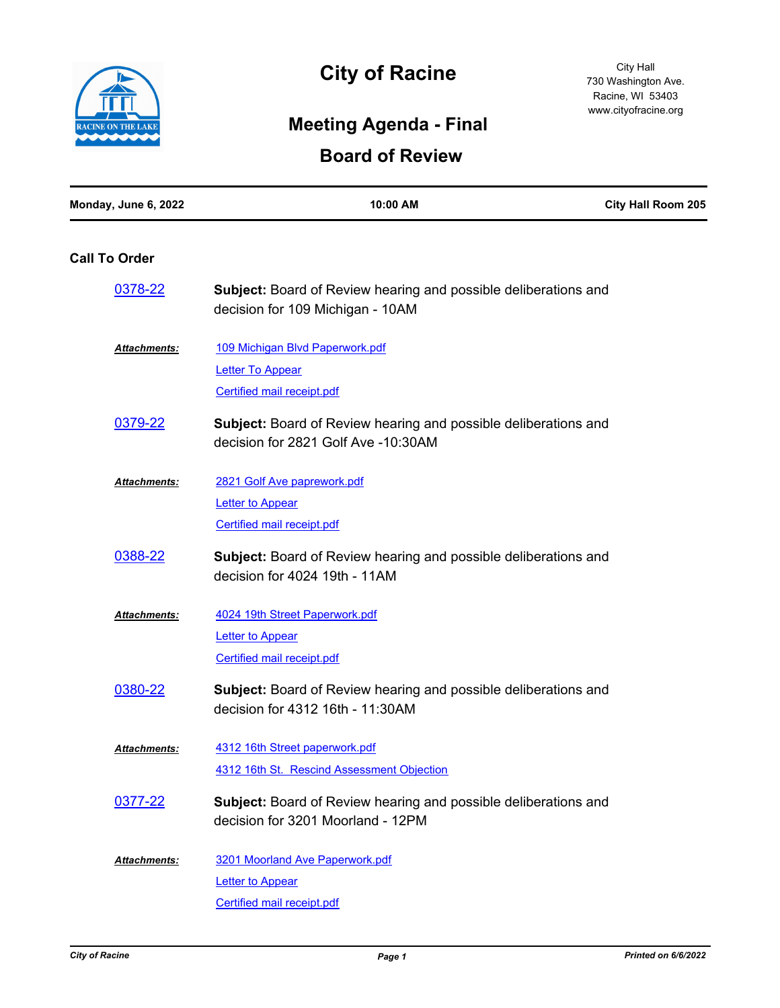

## **City of Racine**

City Hall 730 Washington Ave. Racine, WI 53403 www.cityofracine.org

## **Meeting Agenda - Final**

## **Board of Review**

| Monday, June 6, 2022 | 10:00 AM                                                                                                      | <b>City Hall Room 205</b> |
|----------------------|---------------------------------------------------------------------------------------------------------------|---------------------------|
| <b>Call To Order</b> |                                                                                                               |                           |
| 0378-22              | <b>Subject:</b> Board of Review hearing and possible deliberations and<br>decision for 109 Michigan - 10AM    |                           |
| <b>Attachments:</b>  | 109 Michigan Blvd Paperwork.pdf                                                                               |                           |
|                      | <b>Letter To Appear</b>                                                                                       |                           |
|                      | <b>Certified mail receipt.pdf</b>                                                                             |                           |
| 0379-22              | <b>Subject:</b> Board of Review hearing and possible deliberations and<br>decision for 2821 Golf Ave -10:30AM |                           |
| Attachments:         | 2821 Golf Ave paprework.pdf                                                                                   |                           |
|                      | Letter to Appear                                                                                              |                           |
|                      | <b>Certified mail receipt.pdf</b>                                                                             |                           |
| 0388-22              | <b>Subject:</b> Board of Review hearing and possible deliberations and<br>decision for 4024 19th - 11AM       |                           |
| Attachments:         | 4024 19th Street Paperwork.pdf                                                                                |                           |
|                      | <b>Letter to Appear</b>                                                                                       |                           |
|                      | <b>Certified mail receipt.pdf</b>                                                                             |                           |
| 0380-22              | <b>Subject:</b> Board of Review hearing and possible deliberations and<br>decision for 4312 16th - 11:30AM    |                           |
| <b>Attachments:</b>  | 4312 16th Street paperwork.pdf                                                                                |                           |
|                      | 4312 16th St. Rescind Assessment Objection                                                                    |                           |
| 0377-22              | <b>Subject:</b> Board of Review hearing and possible deliberations and                                        |                           |
|                      | decision for 3201 Moorland - 12PM                                                                             |                           |
| Attachments:         | 3201 Moorland Ave Paperwork.pdf                                                                               |                           |
|                      | <b>Letter to Appear</b>                                                                                       |                           |
|                      | Certified mail receipt.pdf                                                                                    |                           |
|                      |                                                                                                               |                           |